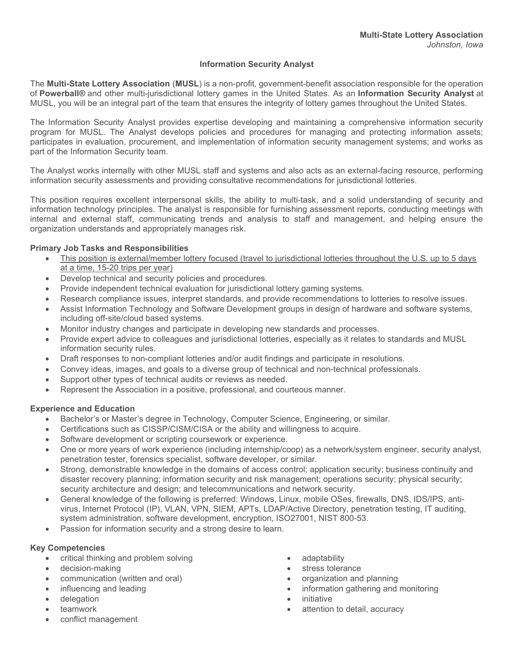## Information Security Analyst

The Multi-State Lottery Association (MUSL) is a non-profit, government-benefit association responsible for the operation of Powerball® and other multi-jurisdictional lottery games in the United States. As an Information Security Analyst at MUSL, you will be an integral part of the team that ensures the integrity of lottery games throughout the United States.

The Information Security Analyst provides expertise developing and maintaining a comprehensive information security program for MUSL. The Analyst develops policies and procedures for managing and protecting information assets; participates in evaluation, procurement, and implementation of information security management systems; and works as part of the Information Security team.

The Analyst works internally with other MUSL staff and systems and also acts as an external-facing resource, performing information security assessments and providing consultative recommendations for jurisdictional lotteries.

This position requires excellent interpersonal skills, the ability to multi-task, and a solid understanding of security and information technology principles. The analyst is responsible for furnishing assessment reports, conducting meetings with internal and external staff, communicating trends and analysis to staff and management, and helping ensure the organization understands and appropriately manages risk.

#### Primary Job Tasks and Responsibilities

- This position is external/member lottery focused (travel to jurisdictional lotteries throughout the U.S. up to 5 days at a time, 15-20 trips per year)
- Develop technical and security policies and procedures.
- Provide independent technical evaluation for jurisdictional lottery gaming systems.
- Research compliance issues, interpret standards, and provide recommendations to lotteries to resolve issues.
- Assist Information Technology and Software Development groups in design of hardware and software systems, including off-site/cloud based systems.
- Monitor industry changes and participate in developing new standards and processes.
- Provide expert advice to colleagues and jurisdictional lotteries, especially as it relates to standards and MUSL information security rules.
- Draft responses to non-compliant lotteries and/or audit findings and participate in resolutions.
- Convey ideas, images, and goals to a diverse group of technical and non-technical professionals.
- Support other types of technical audits or reviews as needed.
- Represent the Association in a positive, professional, and courteous manner.

#### Experience and Education

- Bachelor's or Master's degree in Technology, Computer Science, Engineering, or similar.
- Certifications such as CISSP/CISM/CISA or the ability and willingness to acquire.
- Software development or scripting coursework or experience.
- One or more years of work experience (including internship/coop) as a network/system engineer, security analyst, penetration tester, forensics specialist, software developer, or similar.
- Strong, demonstrable knowledge in the domains of access control; application security; business continuity and disaster recovery planning; information security and risk management; operations security; physical security; security architecture and design; and telecommunications and network security.
- General knowledge of the following is preferred: Windows, Linux, mobile OSes, firewalls, DNS, IDS/IPS, antivirus, Internet Protocol (IP), VLAN, VPN, SIEM, APTs, LDAP/Active Directory, penetration testing, IT auditing, system administration, software development, encryption, ISO27001, NIST 800-53.
- Passion for information security and a strong desire to learn.

## Key Competencies

- critical thinking and problem solving
- decision-making
- communication (written and oral)
- influencing and leading
- delegation
- teamwork
- conflict management
- adaptability
- stress tolerance
- organization and planning
- information gathering and monitoring
- initiative
- attention to detail, accuracy